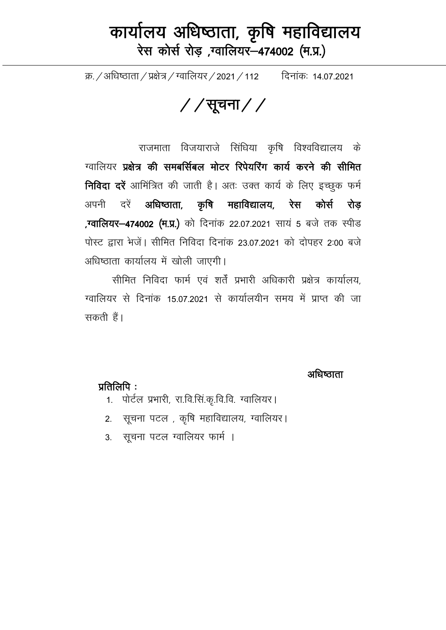## कार्यालय अधिष्ठाता, कृषि महाविद्यालय रेस कोर्स रोड़ ,ग्वालियर-474002 (म.प्र.)

क्र. / अधिष्ठाता / प्रक्षेत्र / ग्वालियर / 2021 / 112 विनांकः 14.07.2021

 $//$ सूचना $//$ 

राजमाता विजयाराजे सिंधिया कृषि विश्वविद्यालय के ग्वालियर प्रक्षेत्र की समबर्सिबल मोटर रिपेयरिंग कार्य करने की सीमित निविदा दरें आमिंत्रित की जाती है। अतः उक्त कार्य के लिए इच्छुक फर्म अधिष्ठाता, कृषि महाविद्यालय, रेस कोर्स रोड़ अपनी दरें ,ग्वालियर-474002 (म.प्र.) को दिनांक 22.07.2021 सायं 5 बजे तक स्पीड पोस्ट द्वारा भेजें। सीमित निविदा दिनांक 23.07.2021 को दोपहर 2:00 बजे अधिष्ठाता कार्यालय में खोली जाएगी।

सीमित निविदा फार्म एवं शर्तें प्रभारी अधिकारी प्रक्षेत्र कार्यालय. ग्वालियर से दिनांक 15.07.2021 से कार्यालयीन समय में प्राप्त की जा सकती हैं।

अधिष्ठाता

प्रतिलिपि $\,$ :

- 1. पोर्टल प्रभारी, रा.वि.सिं.कृ.वि.वि. ग्वालियर।
- 2. सूचना पटल , कृषि महाविद्यालय, ग्वालियर।
- 3. सूचना पटल ग्वालियर फार्म ।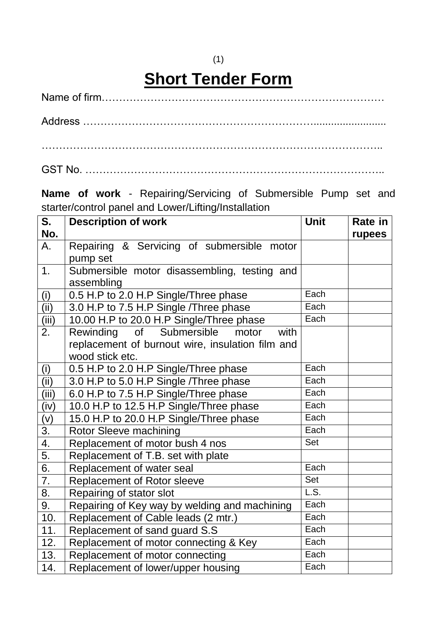## (1) **Short Tender Form**

Address ………………………………………………………….........................

……………………………………………………………………………………..

GST No. …………………………………………………………………………..

**Name of work** - Repairing/Servicing of Submersible Pump set and starter/control panel and Lower/Lifting/Installation

| S.               | <b>Description of work</b>                       | <b>Unit</b>                | Rate in |
|------------------|--------------------------------------------------|----------------------------|---------|
| No.              |                                                  |                            | rupees  |
| А.               | Repairing & Servicing of submersible motor       |                            |         |
|                  | pump set                                         |                            |         |
| 1.               | Submersible motor disassembling, testing and     |                            |         |
|                  | assembling                                       |                            |         |
| (i)              | 0.5 H.P to 2.0 H.P Single/Three phase            | Each                       |         |
| (ii)             | 3.0 H.P to 7.5 H.P Single / Three phase          | Each                       |         |
| (iii)            | 10.00 H.P to 20.0 H.P Single/Three phase         | Each                       |         |
| 2.               | of<br>Submersible<br>Rewinding<br>motor<br>with  |                            |         |
|                  | replacement of burnout wire, insulation film and |                            |         |
|                  | wood stick etc.                                  |                            |         |
| (i)              | 0.5 H.P to 2.0 H.P Single/Three phase            | Each                       |         |
| (ii)             | 3.0 H.P to 5.0 H.P Single / Three phase          | Each                       |         |
| (iii)            | 6.0 H.P to 7.5 H.P Single/Three phase            | Each                       |         |
| (iv)             | 10.0 H.P to 12.5 H.P Single/Three phase          | Each                       |         |
| (v)              | 15.0 H.P to 20.0 H.P Single/Three phase          | Each                       |         |
| 3.               | Rotor Sleeve machining                           | Each                       |         |
| 4.               | Replacement of motor bush 4 nos                  | Set                        |         |
| 5.               | Replacement of T.B. set with plate               |                            |         |
| 6.               | Replacement of water seal                        | Each                       |         |
| 7.               | <b>Replacement of Rotor sleeve</b>               | Set                        |         |
| $\overline{8}$ . | Repairing of stator slot                         | $\overline{\mathsf{L.S.}}$ |         |
| 9.               | Repairing of Key way by welding and machining    | Each                       |         |
| 10.              | Replacement of Cable leads (2 mtr.)              | Each                       |         |
| 11.              | Replacement of sand guard S.S                    | Each                       |         |
| 12.              | Replacement of motor connecting & Key            | Each                       |         |
| 13.              | Replacement of motor connecting                  | Each                       |         |
| 14.              | Replacement of lower/upper housing               | Each                       |         |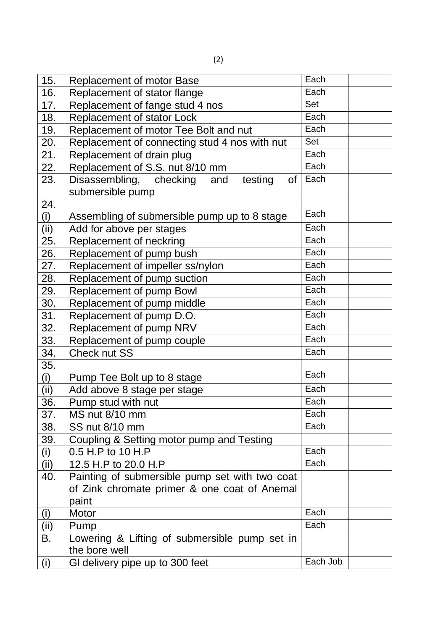| 15.  | <b>Replacement of motor Base</b>                | Each     |
|------|-------------------------------------------------|----------|
| 16.  | Replacement of stator flange                    | Each     |
| 17.  | Replacement of fange stud 4 nos                 | Set      |
| 18.  | Replacement of stator Lock                      | Each     |
| 19.  | Replacement of motor Tee Bolt and nut           | Each     |
| 20.  | Replacement of connecting stud 4 nos with nut   | Set      |
| 21.  | Replacement of drain plug                       | Each     |
| 22.  | Replacement of S.S. nut 8/10 mm                 | Each     |
| 23.  | Disassembling, checking<br>of<br>and<br>testing | Each     |
|      | submersible pump                                |          |
| 24.  |                                                 | Each     |
| (i)  | Assembling of submersible pump up to 8 stage    | Each     |
| (ii) | Add for above per stages                        |          |
| 25.  | Replacement of neckring                         | Each     |
| 26.  | Replacement of pump bush                        | Each     |
| 27.  | Replacement of impeller ss/nylon                | Each     |
| 28.  | Replacement of pump suction                     | Each     |
| 29.  | Replacement of pump Bowl                        | Each     |
| 30.  | Replacement of pump middle                      | Each     |
| 31.  | Replacement of pump D.O.                        | Each     |
| 32.  | Replacement of pump NRV                         | Each     |
| 33.  | Replacement of pump couple                      | Each     |
| 34.  | Check nut SS                                    | Each     |
| 35.  |                                                 | Each     |
| (i)  | Pump Tee Bolt up to 8 stage                     |          |
| (ii) | Add above 8 stage per stage                     | Each     |
| 36.  | Pump stud with nut                              | Each     |
| 37.  | MS nut 8/10 mm                                  | Each     |
| 38.  | SS nut 8/10 mm                                  | Each     |
| 39.  | Coupling & Setting motor pump and Testing       |          |
| (i)  | 0.5 H.P to 10 H.P                               | Each     |
| (ii) | 12.5 H.P to 20.0 H.P                            | Each     |
| 40.  | Painting of submersible pump set with two coat  |          |
|      | of Zink chromate primer & one coat of Anemal    |          |
|      | paint                                           |          |
| (i)  | Motor                                           | Each     |
| (ii) | Pump                                            | Each     |
| В.   | Lowering & Lifting of submersible pump set in   |          |
|      | the bore well                                   |          |
| (i)  | GI delivery pipe up to 300 feet                 | Each Job |